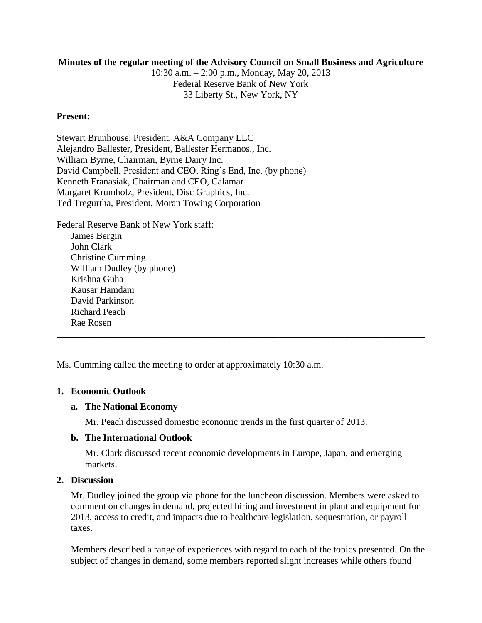# **Minutes of the regular meeting of the Advisory Council on Small Business and Agriculture**

10:30 a.m. – 2:00 p.m., Monday, May 20, 2013 Federal Reserve Bank of New York 33 Liberty St., New York, NY

# **Present:**

Stewart Brunhouse, President, A&A Company LLC Alejandro Ballester, President, Ballester Hermanos., Inc. William Byrne, Chairman, Byrne Dairy Inc. David Campbell, President and CEO, Ring's End, Inc. (by phone) Kenneth Franasiak, Chairman and CEO, Calamar Margaret Krumholz, President, Disc Graphics, Inc. Ted Tregurtha, President, Moran Towing Corporation

Federal Reserve Bank of New York staff: James Bergin John Clark Christine Cumming William Dudley (by phone) Krishna Guha Kausar Hamdani David Parkinson Richard Peach Rae Rosen **\_\_\_\_\_\_\_\_\_\_\_\_\_\_\_\_\_\_\_\_\_\_\_\_\_\_\_\_\_\_\_\_\_\_\_\_\_\_\_\_\_\_\_\_\_\_\_\_\_\_\_\_\_\_\_\_\_\_\_\_\_\_\_\_\_\_\_\_\_\_\_\_\_\_\_\_\_\_**

Ms. Cumming called the meeting to order at approximately 10:30 a.m.

### **1. Economic Outlook**

### **a. The National Economy**

Mr. Peach discussed domestic economic trends in the first quarter of 2013.

### **b. The International Outlook**

Mr. Clark discussed recent economic developments in Europe, Japan, and emerging markets.

# **2. Discussion**

Mr. Dudley joined the group via phone for the luncheon discussion. Members were asked to comment on changes in demand, projected hiring and investment in plant and equipment for 2013, access to credit, and impacts due to healthcare legislation, sequestration, or payroll taxes.

Members described a range of experiences with regard to each of the topics presented. On the subject of changes in demand, some members reported slight increases while others found